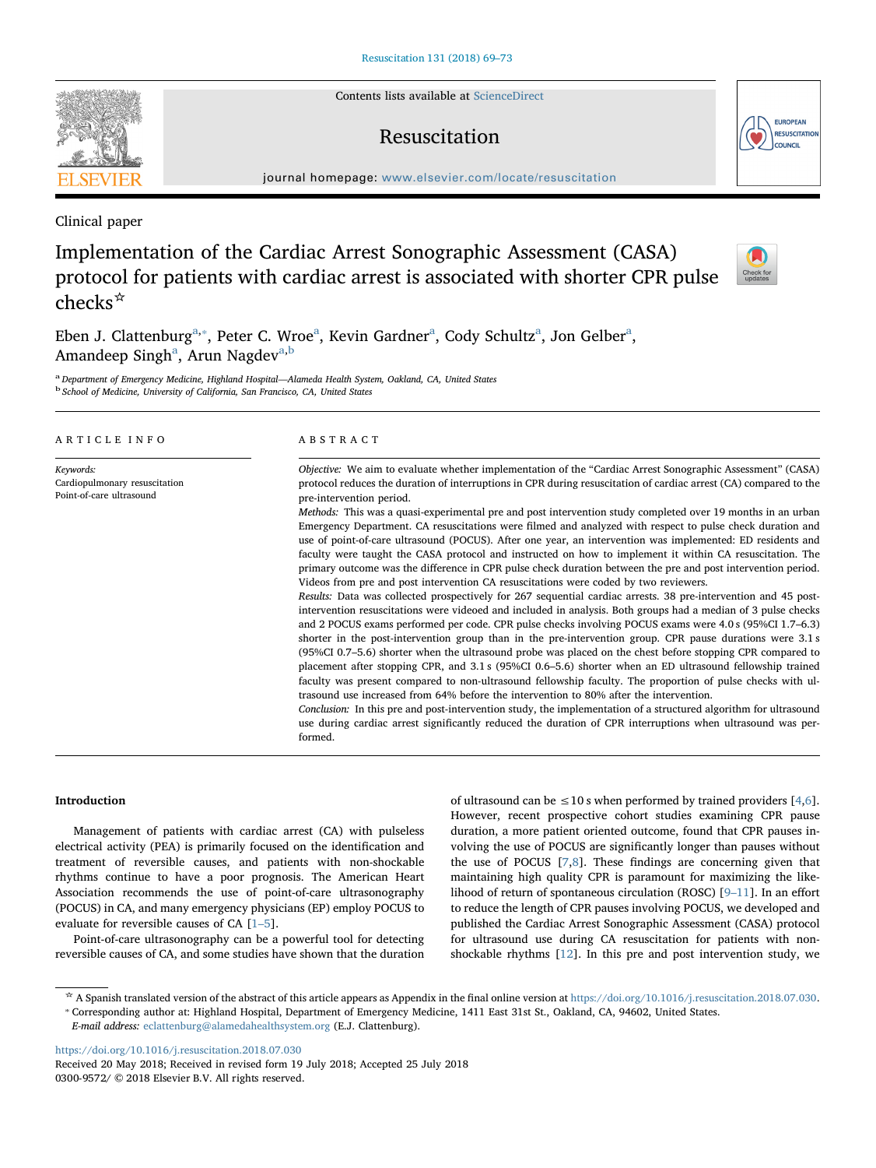Contents lists available at [ScienceDirect](http://www.sciencedirect.com/science/journal/03009572)

# Resuscitation

journal homepage: [www.elsevier.com/locate/resuscitation](https://www.elsevier.com/locate/resuscitation)

Clinical paper

# Implementation of the Cardiac Arrest Sonographic Assessment (CASA) protocol for patients with cardiac arrest is associated with shorter CPR pulse checks☆

Eben J. Clattenburg<sup>[a,](#page-0-0)\*</sup>, Peter C. Wroe<sup>[a](#page-0-0)</sup>, Kevin Gardner<sup>a</sup>, Cody Schultz<sup>a</sup>, Jon Gelber<sup>a</sup>, Amandeep Singh<sup>a</sup>, Arun Nagdev<sup>[a,](#page-0-0)[b](#page-0-2)</sup>

<span id="page-0-2"></span><span id="page-0-0"></span><sup>a</sup> Department of Emergency Medicine, Highland Hospital—Alameda Health System, Oakland, CA, United States<br><sup>b</sup> School of Medicine, University of California, San Francisco, CA, United States

| ARTICLE INFO                                                           | ABSTRACT                                                                                                                                                                                                                                                                                                                                                                                                                                                                                                                                    |  |  |
|------------------------------------------------------------------------|---------------------------------------------------------------------------------------------------------------------------------------------------------------------------------------------------------------------------------------------------------------------------------------------------------------------------------------------------------------------------------------------------------------------------------------------------------------------------------------------------------------------------------------------|--|--|
| Keywords:<br>Cardiopulmonary resuscitation<br>Point-of-care ultrasound | Objective: We aim to evaluate whether implementation of the "Cardiac Arrest Sonographic Assessment" (CASA)<br>protocol reduces the duration of interruptions in CPR during resuscitation of cardiac arrest (CA) compared to the<br>pre-intervention period.<br>Methods: This was a quasi-experimental pre and post intervention study completed over 19 months in an urban                                                                                                                                                                  |  |  |
|                                                                        | Emergency Department. CA resuscitations were filmed and analyzed with respect to pulse check duration and<br>use of point-of-care ultrasound (POCUS). After one year, an intervention was implemented: ED residents and<br>faculty were taught the CASA protocol and instructed on how to implement it within CA resuscitation. The<br>primary outcome was the difference in CPR pulse check duration between the pre and post intervention period.<br>Videos from pre and post intervention CA resuscitations were coded by two reviewers. |  |  |
|                                                                        | Results: Data was collected prospectively for 267 sequential cardiac arrests. 38 pre-intervention and 45 post-<br>intervention resuscitations were videoed and included in analysis. Both groups had a median of 3 pulse checks<br>and 2 POCUS exams performed per code. CPR pulse checks involving POCUS exams were 4.0 s (95%CI 1.7–6.3)<br>shorter in the post-intervention group than in the pre-intervention group. CPR pause durations were 3.1 s                                                                                     |  |  |
|                                                                        | (95%CI 0.7–5.6) shorter when the ultrasound probe was placed on the chest before stopping CPR compared to<br>placement after stopping CPR, and 3.1 s (95%CI 0.6–5.6) shorter when an ED ultrasound fellowship trained<br>faculty was present compared to non-ultrasound fellowship faculty. The proportion of pulse checks with ul-<br>trasound use increased from 64% before the intervention to 80% after the intervention.                                                                                                               |  |  |
|                                                                        | Conclusion: In this pre and post-intervention study, the implementation of a structured algorithm for ultrasound<br>use during cardiac arrest significantly reduced the duration of CPR interruptions when ultrasound was per-<br>formed.                                                                                                                                                                                                                                                                                                   |  |  |

# Introduction

Management of patients with cardiac arrest (CA) with pulseless electrical activity (PEA) is primarily focused on the identification and treatment of reversible causes, and patients with non-shockable rhythms continue to have a poor prognosis. The American Heart Association recommends the use of point-of-care ultrasonography (POCUS) in CA, and many emergency physicians (EP) employ POCUS to evaluate for reversible causes of CA [\[1](#page-4-0)–5].

Point-of-care ultrasonography can be a powerful tool for detecting reversible causes of CA, and some studies have shown that the duration of ultrasound can be  $\leq 10$  s when performed by trained providers [[4](#page-4-1),[6](#page-4-2)]. However, recent prospective cohort studies examining CPR pause duration, a more patient oriented outcome, found that CPR pauses involving the use of POCUS are significantly longer than pauses without the use of POCUS [[7](#page-4-3)[,8\]](#page-4-4). These findings are concerning given that maintaining high quality CPR is paramount for maximizing the likelihood of return of spontaneous circulation (ROSC) [9–[11](#page-4-5)]. In an effort to reduce the length of CPR pauses involving POCUS, we developed and published the Cardiac Arrest Sonographic Assessment (CASA) protocol for ultrasound use during CA resuscitation for patients with nonshockable rhythms [[12\]](#page-4-6). In this pre and post intervention study, we

<https://doi.org/10.1016/j.resuscitation.2018.07.030>





Check for

<span id="page-0-1"></span><sup>\*</sup> A Spanish translated version of the abstract of this article appears as Appendix in the final online version at [https://doi.org/10.1016/j.resuscitation.2018.07.030.](https://doi.org/10.1016/j.resuscitation.2018.07.030)<br>\* Corresponding author at: Highland Hospital, Departmen

E-mail address: [eclattenburg@alamedahealthsystem.org](mailto:eclattenburg@alamedahealthsystem.org) (E.J. Clattenburg).

Received 20 May 2018; Received in revised form 19 July 2018; Accepted 25 July 2018 0300-9572/ © 2018 Elsevier B.V. All rights reserved.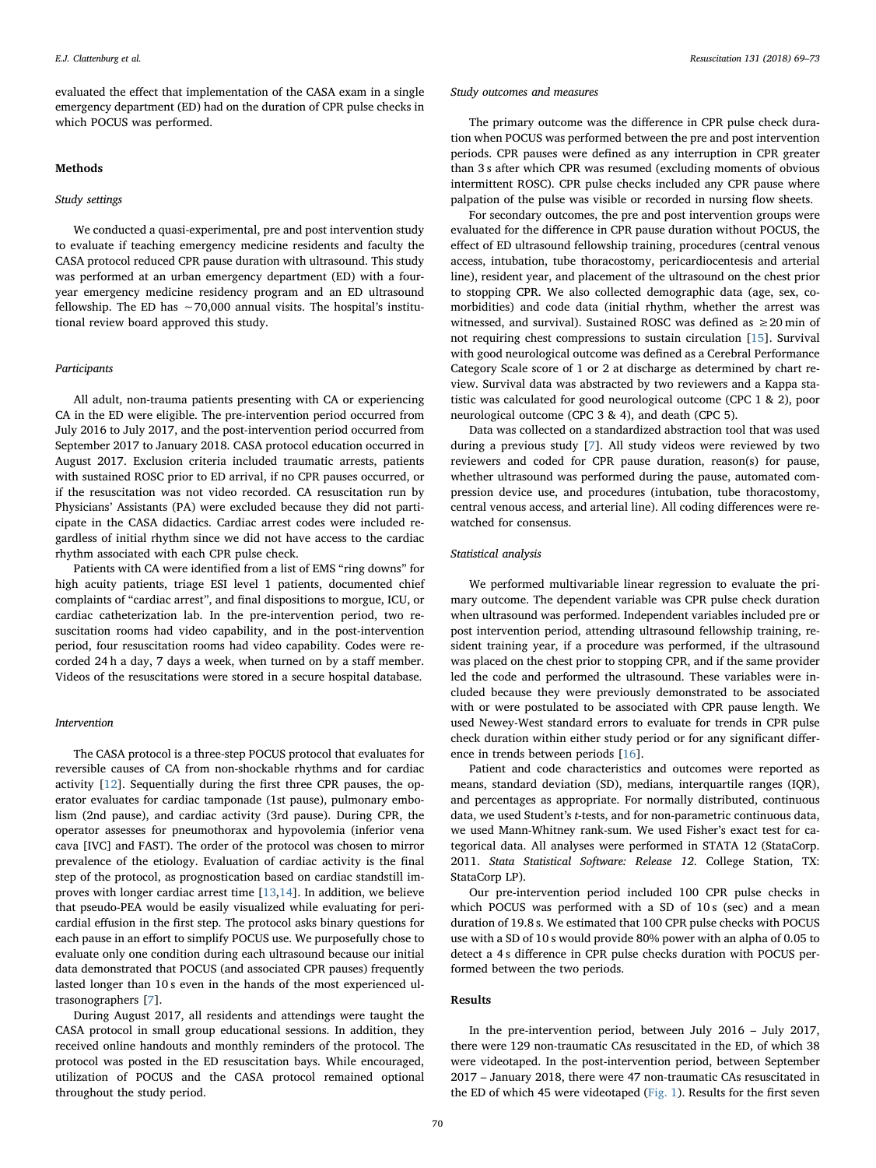evaluated the effect that implementation of the CASA exam in a single emergency department (ED) had on the duration of CPR pulse checks in which POCUS was performed.

### Methods

## Study settings

We conducted a quasi-experimental, pre and post intervention study to evaluate if teaching emergency medicine residents and faculty the CASA protocol reduced CPR pause duration with ultrasound. This study was performed at an urban emergency department (ED) with a fouryear emergency medicine residency program and an ED ultrasound fellowship. The ED has ∼70,000 annual visits. The hospital's institutional review board approved this study.

### **Participants**

All adult, non-trauma patients presenting with CA or experiencing CA in the ED were eligible. The pre-intervention period occurred from July 2016 to July 2017, and the post-intervention period occurred from September 2017 to January 2018. CASA protocol education occurred in August 2017. Exclusion criteria included traumatic arrests, patients with sustained ROSC prior to ED arrival, if no CPR pauses occurred, or if the resuscitation was not video recorded. CA resuscitation run by Physicians' Assistants (PA) were excluded because they did not participate in the CASA didactics. Cardiac arrest codes were included regardless of initial rhythm since we did not have access to the cardiac rhythm associated with each CPR pulse check.

Patients with CA were identified from a list of EMS "ring downs" for high acuity patients, triage ESI level 1 patients, documented chief complaints of "cardiac arrest", and final dispositions to morgue, ICU, or cardiac catheterization lab. In the pre-intervention period, two resuscitation rooms had video capability, and in the post-intervention period, four resuscitation rooms had video capability. Codes were recorded 24 h a day, 7 days a week, when turned on by a staff member. Videos of the resuscitations were stored in a secure hospital database.

## Intervention

The CASA protocol is a three-step POCUS protocol that evaluates for reversible causes of CA from non-shockable rhythms and for cardiac activity [[12\]](#page-4-6). Sequentially during the first three CPR pauses, the operator evaluates for cardiac tamponade (1st pause), pulmonary embolism (2nd pause), and cardiac activity (3rd pause). During CPR, the operator assesses for pneumothorax and hypovolemia (inferior vena cava [IVC] and FAST). The order of the protocol was chosen to mirror prevalence of the etiology. Evaluation of cardiac activity is the final step of the protocol, as prognostication based on cardiac standstill improves with longer cardiac arrest time [[13,](#page-4-7)[14](#page-4-8)]. In addition, we believe that pseudo-PEA would be easily visualized while evaluating for pericardial effusion in the first step. The protocol asks binary questions for each pause in an effort to simplify POCUS use. We purposefully chose to evaluate only one condition during each ultrasound because our initial data demonstrated that POCUS (and associated CPR pauses) frequently lasted longer than 10 s even in the hands of the most experienced ultrasonographers [\[7\]](#page-4-3).

During August 2017, all residents and attendings were taught the CASA protocol in small group educational sessions. In addition, they received online handouts and monthly reminders of the protocol. The protocol was posted in the ED resuscitation bays. While encouraged, utilization of POCUS and the CASA protocol remained optional throughout the study period.

#### Study outcomes and measures

The primary outcome was the difference in CPR pulse check duration when POCUS was performed between the pre and post intervention periods. CPR pauses were defined as any interruption in CPR greater than 3 s after which CPR was resumed (excluding moments of obvious intermittent ROSC). CPR pulse checks included any CPR pause where palpation of the pulse was visible or recorded in nursing flow sheets.

For secondary outcomes, the pre and post intervention groups were evaluated for the difference in CPR pause duration without POCUS, the effect of ED ultrasound fellowship training, procedures (central venous access, intubation, tube thoracostomy, pericardiocentesis and arterial line), resident year, and placement of the ultrasound on the chest prior to stopping CPR. We also collected demographic data (age, sex, comorbidities) and code data (initial rhythm, whether the arrest was witnessed, and survival). Sustained ROSC was defined as  $\geq 20$  min of not requiring chest compressions to sustain circulation [[15\]](#page-4-9). Survival with good neurological outcome was defined as a Cerebral Performance Category Scale score of 1 or 2 at discharge as determined by chart review. Survival data was abstracted by two reviewers and a Kappa statistic was calculated for good neurological outcome (CPC 1 & 2), poor neurological outcome (CPC 3 & 4), and death (CPC 5).

Data was collected on a standardized abstraction tool that was used during a previous study [\[7\]](#page-4-3). All study videos were reviewed by two reviewers and coded for CPR pause duration, reason(s) for pause, whether ultrasound was performed during the pause, automated compression device use, and procedures (intubation, tube thoracostomy, central venous access, and arterial line). All coding differences were rewatched for consensus.

# Statistical analysis

We performed multivariable linear regression to evaluate the primary outcome. The dependent variable was CPR pulse check duration when ultrasound was performed. Independent variables included pre or post intervention period, attending ultrasound fellowship training, resident training year, if a procedure was performed, if the ultrasound was placed on the chest prior to stopping CPR, and if the same provider led the code and performed the ultrasound. These variables were included because they were previously demonstrated to be associated with or were postulated to be associated with CPR pause length. We used Newey-West standard errors to evaluate for trends in CPR pulse check duration within either study period or for any significant difference in trends between periods [[16\]](#page-4-10).

Patient and code characteristics and outcomes were reported as means, standard deviation (SD), medians, interquartile ranges (IQR), and percentages as appropriate. For normally distributed, continuous data, we used Student's t-tests, and for non-parametric continuous data, we used Mann-Whitney rank-sum. We used Fisher's exact test for categorical data. All analyses were performed in STATA 12 (StataCorp. 2011. Stata Statistical Software: Release 12. College Station, TX: StataCorp LP).

Our pre-intervention period included 100 CPR pulse checks in which POCUS was performed with a SD of 10 s (sec) and a mean duration of 19.8 s. We estimated that 100 CPR pulse checks with POCUS use with a SD of 10 s would provide 80% power with an alpha of 0.05 to detect a 4 s difference in CPR pulse checks duration with POCUS performed between the two periods.

## Results

In the pre-intervention period, between July 2016 – July 2017, there were 129 non-traumatic CAs resuscitated in the ED, of which 38 were videotaped. In the post-intervention period, between September 2017 – January 2018, there were 47 non-traumatic CAs resuscitated in the ED of which 45 were videotaped ([Fig. 1\)](#page-2-0). Results for the first seven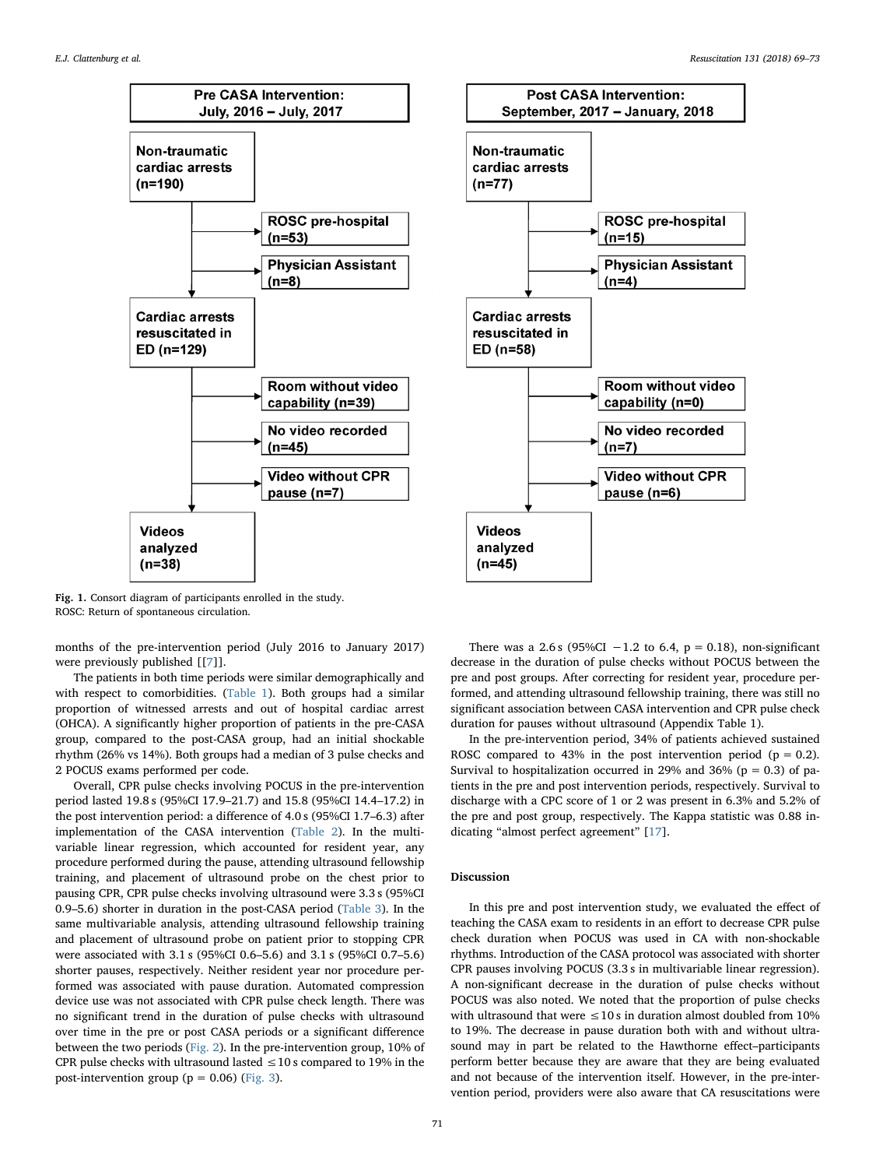<span id="page-2-0"></span>



Fig. 1. Consort diagram of participants enrolled in the study. ROSC: Return of spontaneous circulation.

months of the pre-intervention period (July 2016 to January 2017) were previously published [[[7](#page-4-3)]].

The patients in both time periods were similar demographically and with respect to comorbidities. [\(Table 1](#page-3-0)). Both groups had a similar proportion of witnessed arrests and out of hospital cardiac arrest (OHCA). A significantly higher proportion of patients in the pre-CASA group, compared to the post-CASA group, had an initial shockable rhythm (26% vs 14%). Both groups had a median of 3 pulse checks and 2 POCUS exams performed per code.

Overall, CPR pulse checks involving POCUS in the pre-intervention period lasted 19.8 s (95%CI 17.9–21.7) and 15.8 (95%CI 14.4–17.2) in the post intervention period: a difference of 4.0 s (95%CI 1.7–6.3) after implementation of the CASA intervention [\(Table 2\)](#page-3-1). In the multivariable linear regression, which accounted for resident year, any procedure performed during the pause, attending ultrasound fellowship training, and placement of ultrasound probe on the chest prior to pausing CPR, CPR pulse checks involving ultrasound were 3.3 s (95%CI 0.9–5.6) shorter in duration in the post-CASA period ([Table 3](#page-3-2)). In the same multivariable analysis, attending ultrasound fellowship training and placement of ultrasound probe on patient prior to stopping CPR were associated with 3.1 s (95%CI 0.6–5.6) and 3.1 s (95%CI 0.7–5.6) shorter pauses, respectively. Neither resident year nor procedure performed was associated with pause duration. Automated compression device use was not associated with CPR pulse check length. There was no significant trend in the duration of pulse checks with ultrasound over time in the pre or post CASA periods or a significant difference between the two periods [\(Fig. 2](#page-3-3)). In the pre-intervention group, 10% of CPR pulse checks with ultrasound lasted  $\leq$  10 s compared to 19% in the post-intervention group ( $p = 0.06$ ) ([Fig. 3](#page-3-4)).

There was a 2.6 s (95%CI -1.2 to 6.4,  $p = 0.18$ ), non-significant decrease in the duration of pulse checks without POCUS between the pre and post groups. After correcting for resident year, procedure performed, and attending ultrasound fellowship training, there was still no significant association between CASA intervention and CPR pulse check duration for pauses without ultrasound (Appendix Table 1).

In the pre-intervention period, 34% of patients achieved sustained ROSC compared to 43% in the post intervention period ( $p = 0.2$ ). Survival to hospitalization occurred in 29% and 36% ( $p = 0.3$ ) of patients in the pre and post intervention periods, respectively. Survival to discharge with a CPC score of 1 or 2 was present in 6.3% and 5.2% of the pre and post group, respectively. The Kappa statistic was 0.88 indicating "almost perfect agreement" [\[17](#page-4-11)].

# Discussion

In this pre and post intervention study, we evaluated the effect of teaching the CASA exam to residents in an effort to decrease CPR pulse check duration when POCUS was used in CA with non-shockable rhythms. Introduction of the CASA protocol was associated with shorter CPR pauses involving POCUS (3.3 s in multivariable linear regression). A non-significant decrease in the duration of pulse checks without POCUS was also noted. We noted that the proportion of pulse checks with ultrasound that were  $\leq 10$  s in duration almost doubled from 10% to 19%. The decrease in pause duration both with and without ultrasound may in part be related to the Hawthorne effect–participants perform better because they are aware that they are being evaluated and not because of the intervention itself. However, in the pre-intervention period, providers were also aware that CA resuscitations were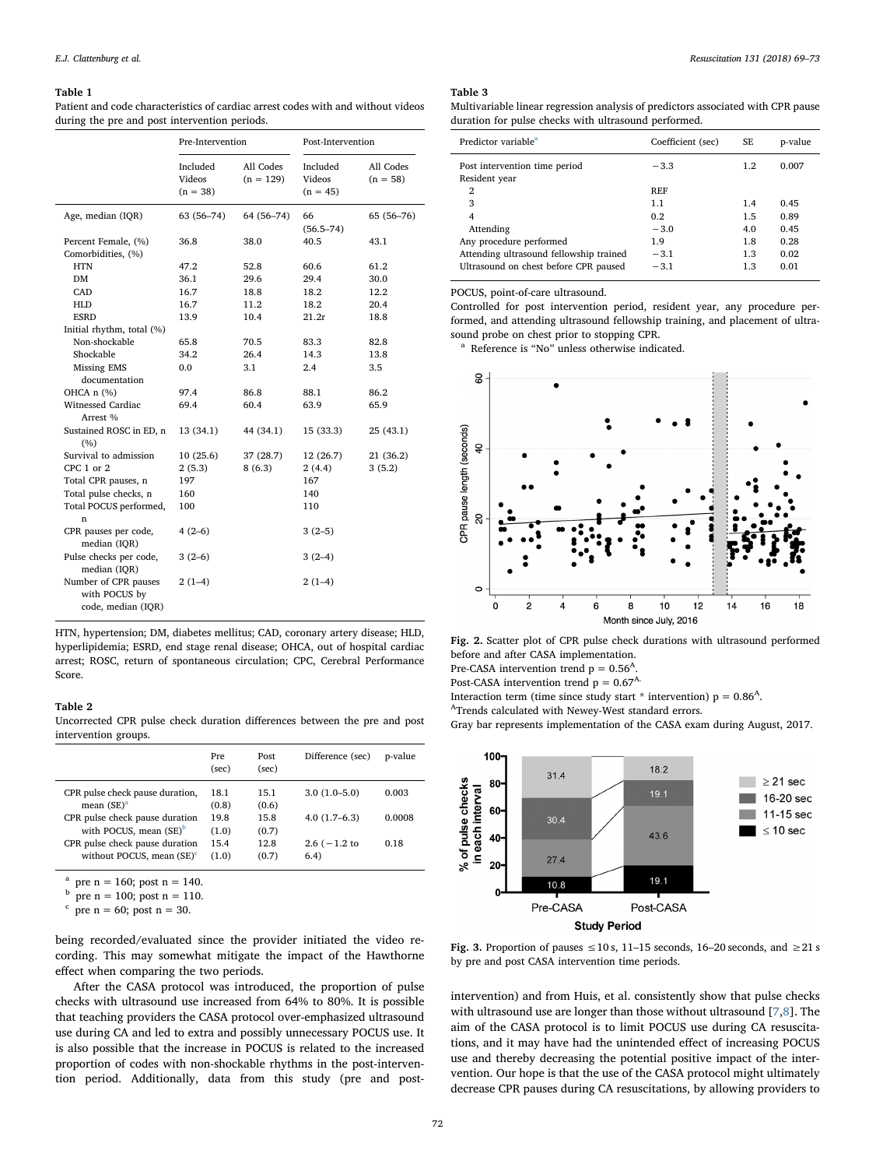#### <span id="page-3-0"></span>Table 1

Patient and code characteristics of cardiac arrest codes with and without videos during the pre and post intervention periods.

|                                                             | Pre-Intervention                 |                          | Post-Intervention                |                         |
|-------------------------------------------------------------|----------------------------------|--------------------------|----------------------------------|-------------------------|
|                                                             | Included<br>Videos<br>$(n = 38)$ | All Codes<br>$(n = 129)$ | Included<br>Videos<br>$(n = 45)$ | All Codes<br>$(n = 58)$ |
| Age, median (IQR)                                           | 63 (56–74)                       | 64 (56-74)               | 66<br>$(56.5 - 74)$              | 65 (56-76)              |
| Percent Female, (%)<br>Comorbidities, (%)                   | 36.8                             | 38.0                     | 40.5                             | 43.1                    |
| <b>HTN</b>                                                  | 47.2                             | 52.8                     | 60.6                             | 61.2                    |
| DM                                                          | 36.1                             | 29.6                     | 29.4                             | 30.0                    |
| CAD                                                         | 16.7                             | 18.8                     | 18.2                             | 12.2                    |
| <b>HLD</b>                                                  | 16.7                             | 11.2                     | 18.2                             | 20.4                    |
| <b>ESRD</b>                                                 | 13.9                             | 10.4                     | 21.2r                            | 18.8                    |
| Initial rhythm, total (%)                                   |                                  |                          |                                  |                         |
| Non-shockable                                               | 65.8                             | 70.5                     | 83.3                             | 82.8                    |
| Shockable                                                   | 34.2                             | 26.4                     | 14.3                             | 13.8                    |
| Missing EMS<br>documentation                                | 0.0                              | 3.1                      | 2.4                              | 3.5                     |
| OHCA n (%)                                                  | 97.4                             | 86.8                     | 88.1                             | 86.2                    |
| Witnessed Cardiac<br>Arrest %                               | 69.4                             | 60.4                     | 63.9                             | 65.9                    |
| Sustained ROSC in ED, n<br>(%)                              | 13 (34.1)                        | 44 (34.1)                | 15 (33.3)                        | 25(43.1)                |
| Survival to admission                                       | 10(25.6)                         | 37 (28.7)                | 12 (26.7)                        | 21 (36.2)               |
| CPC 1 or 2                                                  | 2(5.3)                           | 8(6.3)                   | 2(4.4)                           | 3(5.2)                  |
| Total CPR pauses, n                                         | 197                              |                          | 167                              |                         |
| Total pulse checks, n                                       | 160                              |                          | 140                              |                         |
| Total POCUS performed,<br>n                                 | 100                              |                          | 110                              |                         |
| CPR pauses per code,<br>median (IQR)                        | $4(2-6)$                         |                          | $3(2-5)$                         |                         |
| Pulse checks per code,<br>median (IQR)                      | $3(2-6)$                         |                          | $3(2-4)$                         |                         |
| Number of CPR pauses<br>with POCUS by<br>code, median (IQR) | $2(1-4)$                         |                          | $2(1-4)$                         |                         |

HTN, hypertension; DM, diabetes mellitus; CAD, coronary artery disease; HLD, hyperlipidemia; ESRD, end stage renal disease; OHCA, out of hospital cardiac arrest; ROSC, return of spontaneous circulation; CPC, Cerebral Performance Score.

#### <span id="page-3-1"></span>Table 2

Uncorrected CPR pulse check duration differences between the pre and post intervention groups.

|                                                                | Pre<br>(sec)  | Post<br>(sec) | Difference (sec)           | p-value |
|----------------------------------------------------------------|---------------|---------------|----------------------------|---------|
| CPR pulse check pause duration,<br>mean $(SE)^a$               | 18.1<br>(0.8) | 15.1<br>(0.6) | $3.0(1.0-5.0)$             | 0.003   |
| CPR pulse check pause duration<br>with POCUS, mean $(SE)^b$    | 19.8<br>(1.0) | 15.8<br>(0.7) | $4.0(1.7-6.3)$             | 0.0008  |
| CPR pulse check pause duration<br>without POCUS, mean $(SE)^c$ | 15.4<br>(1.0) | 12.8<br>(0.7) | $2.6$ ( $-1.2$ to<br>(6.4) | 0.18    |

<span id="page-3-5"></span>pre  $n = 160$ ; post  $n = 140$ .

<span id="page-3-6"></span>pre  $n = 100$ ; post  $n = 110$ .

<span id="page-3-7"></span>pre  $n = 60$ ; post  $n = 30$ .

being recorded/evaluated since the provider initiated the video recording. This may somewhat mitigate the impact of the Hawthorne effect when comparing the two periods.

After the CASA protocol was introduced, the proportion of pulse checks with ultrasound use increased from 64% to 80%. It is possible that teaching providers the CASA protocol over-emphasized ultrasound use during CA and led to extra and possibly unnecessary POCUS use. It is also possible that the increase in POCUS is related to the increased proportion of codes with non-shockable rhythms in the post-intervention period. Additionally, data from this study (pre and post-

#### E.J. Clattenburg et al. *Resuscitation 131 (2018) 69–73*

## <span id="page-3-2"></span>Table 3

| Multivariable linear regression analysis of predictors associated with CPR pause |
|----------------------------------------------------------------------------------|
| duration for pulse checks with ultrasound performed.                             |

| Predictor variable <sup>a</sup>                | Coefficient (sec) | SF. | p-value |
|------------------------------------------------|-------------------|-----|---------|
| Post intervention time period<br>Resident year | $-3.3$            | 1.2 | 0.007   |
| 2                                              | <b>REF</b>        |     |         |
| 3                                              | 1.1               | 1.4 | 0.45    |
| 4                                              | 0.2               | 1.5 | 0.89    |
| Attending                                      | $-.3.0$           | 4.0 | 0.45    |
| Any procedure performed                        | 1.9               | 1.8 | 0.28    |
| Attending ultrasound fellowship trained        | $-3.1$            | 1.3 | 0.02    |
| Ultrasound on chest before CPR paused          | $-3.1$            | 1.3 | 0.01    |

POCUS, point-of-care ultrasound.

Controlled for post intervention period, resident year, any procedure performed, and attending ultrasound fellowship training, and placement of ultrasound probe on chest prior to stopping CPR.

<span id="page-3-8"></span><sup>a</sup> Reference is "No" unless otherwise indicated.

<span id="page-3-3"></span>

Fig. 2. Scatter plot of CPR pulse check durations with ultrasound performed before and after CASA implementation.

Pre-CASA intervention trend  $p = 0.56<sup>A</sup>$ .

Post-CASA intervention trend  $p = 0.67<sup>A</sup>$ .

Interaction term (time since study start \* intervention)  $p = 0.86<sup>A</sup>$ .

ATrends calculated with Newey-West standard errors.

Gray bar represents implementation of the CASA exam during August, 2017.

<span id="page-3-4"></span>

Fig. 3. Proportion of pauses  $\leq 10$  s, 11–15 seconds, 16–20 seconds, and  $\geq 21$  s by pre and post CASA intervention time periods.

intervention) and from Huis, et al. consistently show that pulse checks with ultrasound use are longer than those without ultrasound [[7](#page-4-3)[,8\]](#page-4-4). The aim of the CASA protocol is to limit POCUS use during CA resuscitations, and it may have had the unintended effect of increasing POCUS use and thereby decreasing the potential positive impact of the intervention. Our hope is that the use of the CASA protocol might ultimately decrease CPR pauses during CA resuscitations, by allowing providers to